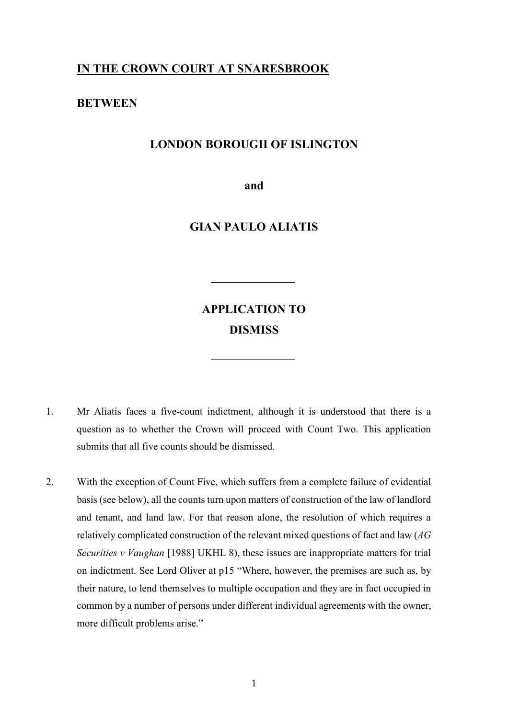## **IN THE CROWN COURT AT SNARESBROOK**

### **BETWEEN**

### **LONDON BOROUGH OF ISLINGTON**

**and**

### **GIAN PAULO ALIATIS**

# **APPLICATION TO DISMISS**

- 1. Mr Aliatis faces a five-count indictment, although it is understood that there is a question as to whether the Crown will proceed with Count Two. This application submits that all five counts should be dismissed.
- 2. With the exception of Count Five, which suffers from a complete failure of evidential basis (see below), all the counts turn upon matters of construction of the law of landlord and tenant, and land law. For that reason alone, the resolution of which requires a relatively complicated construction of the relevant mixed questions of fact and law (*AG Securities v Vaughan* [1988] UKHL 8), these issues are inappropriate matters for trial on indictment. See Lord Oliver at p15 "Where, however, the premises are such as, by their nature, to lend themselves to multiple occupation and they are in fact occupied in common by a number of persons under different individual agreements with the owner, more difficult problems arise."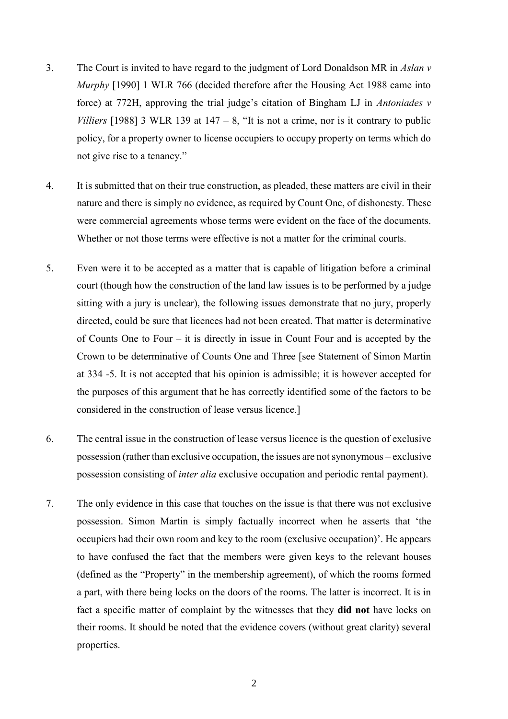- 3. The Court is invited to have regard to the judgment of Lord Donaldson MR in *Aslan v Murphy* [1990] 1 WLR 766 (decided therefore after the Housing Act 1988 came into force) at 772H, approving the trial judge's citation of Bingham LJ in *Antoniades v Villiers* [1988] 3 WLR 139 at  $147 - 8$ , "It is not a crime, nor is it contrary to public policy, for a property owner to license occupiers to occupy property on terms which do not give rise to a tenancy."
- 4. It is submitted that on their true construction, as pleaded, these matters are civil in their nature and there is simply no evidence, as required by Count One, of dishonesty. These were commercial agreements whose terms were evident on the face of the documents. Whether or not those terms were effective is not a matter for the criminal courts.
- 5. Even were it to be accepted as a matter that is capable of litigation before a criminal court (though how the construction of the land law issues is to be performed by a judge sitting with a jury is unclear), the following issues demonstrate that no jury, properly directed, could be sure that licences had not been created. That matter is determinative of Counts One to Four – it is directly in issue in Count Four and is accepted by the Crown to be determinative of Counts One and Three [see Statement of Simon Martin at 334 -5. It is not accepted that his opinion is admissible; it is however accepted for the purposes of this argument that he has correctly identified some of the factors to be considered in the construction of lease versus licence.]
- 6. The central issue in the construction of lease versus licence is the question of exclusive possession (rather than exclusive occupation, the issues are not synonymous – exclusive possession consisting of *inter alia* exclusive occupation and periodic rental payment).
- 7. The only evidence in this case that touches on the issue is that there was not exclusive possession. Simon Martin is simply factually incorrect when he asserts that 'the occupiers had their own room and key to the room (exclusive occupation)'. He appears to have confused the fact that the members were given keys to the relevant houses (defined as the "Property" in the membership agreement), of which the rooms formed a part, with there being locks on the doors of the rooms. The latter is incorrect. It is in fact a specific matter of complaint by the witnesses that they **did not** have locks on their rooms. It should be noted that the evidence covers (without great clarity) several properties.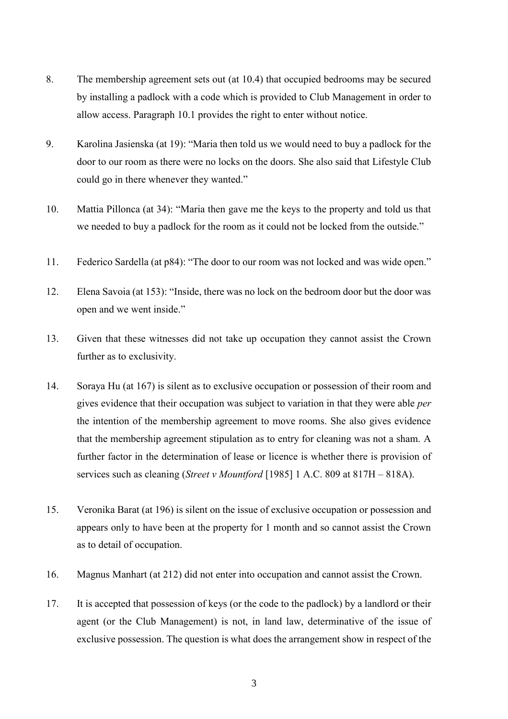- 8. The membership agreement sets out (at 10.4) that occupied bedrooms may be secured by installing a padlock with a code which is provided to Club Management in order to allow access. Paragraph 10.1 provides the right to enter without notice.
- 9. Karolina Jasienska (at 19): "Maria then told us we would need to buy a padlock for the door to our room as there were no locks on the doors. She also said that Lifestyle Club could go in there whenever they wanted."
- 10. Mattia Pillonca (at 34): "Maria then gave me the keys to the property and told us that we needed to buy a padlock for the room as it could not be locked from the outside."
- 11. Federico Sardella (at p84): "The door to our room was not locked and was wide open."
- 12. Elena Savoia (at 153): "Inside, there was no lock on the bedroom door but the door was open and we went inside."
- 13. Given that these witnesses did not take up occupation they cannot assist the Crown further as to exclusivity.
- 14. Soraya Hu (at 167) is silent as to exclusive occupation or possession of their room and gives evidence that their occupation was subject to variation in that they were able *per* the intention of the membership agreement to move rooms. She also gives evidence that the membership agreement stipulation as to entry for cleaning was not a sham. A further factor in the determination of lease or licence is whether there is provision of services such as cleaning (*Street v Mountford* [1985] 1 A.C. 809 at 817H – 818A).
- 15. Veronika Barat (at 196) is silent on the issue of exclusive occupation or possession and appears only to have been at the property for 1 month and so cannot assist the Crown as to detail of occupation.
- 16. Magnus Manhart (at 212) did not enter into occupation and cannot assist the Crown.
- 17. It is accepted that possession of keys (or the code to the padlock) by a landlord or their agent (or the Club Management) is not, in land law, determinative of the issue of exclusive possession. The question is what does the arrangement show in respect of the